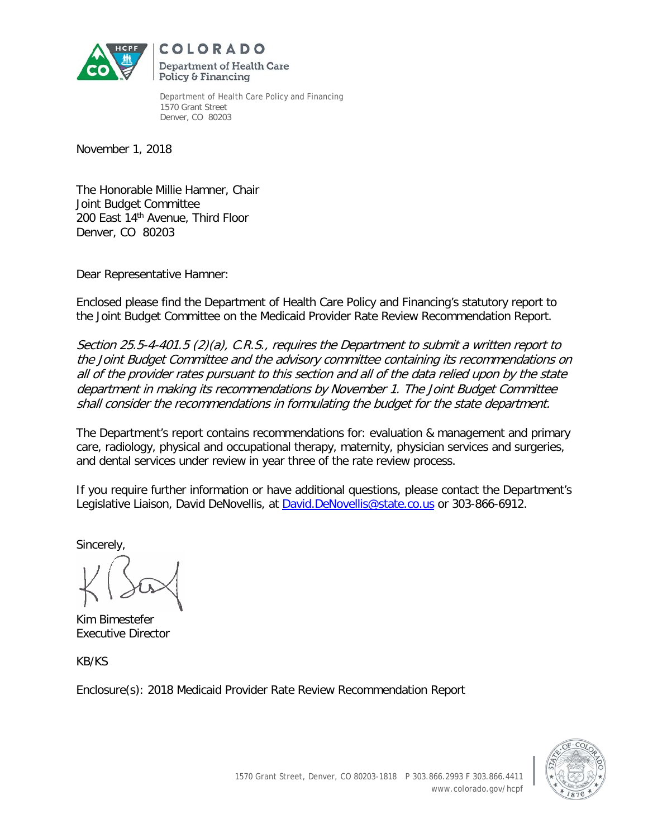

COLORADO Department of Health Care Policy & Financing

Department of Health Care Policy and Financing 1570 Grant Street Denver, CO 80203

November 1, 2018

The Honorable Millie Hamner, Chair Joint Budget Committee 200 East 14th Avenue, Third Floor Denver, CO 80203

Dear Representative Hamner:

Enclosed please find the Department of Health Care Policy and Financing's statutory report to the Joint Budget Committee on the Medicaid Provider Rate Review Recommendation Report.

Section 25.5-4-401.5 (2)(a), C.R.S., requires the Department to submit a written report to the Joint Budget Committee and the advisory committee containing its recommendations on all of the provider rates pursuant to this section and all of the data relied upon by the state department in making its recommendations by November 1. The Joint Budget Committee shall consider the recommendations in formulating the budget for the state department.

The Department's report contains recommendations for: evaluation & management and primary care, radiology, physical and occupational therapy, maternity, physician services and surgeries, and dental services under review in year three of the rate review process.

If you require further information or have additional questions, please contact the Department's Legislative Liaison, David DeNovellis, at David.DeNovellis@state.co.us or 303-866-6912.

Sincerely,

Kim Bimestefer Executive Director

KB/KS

Enclosure(s): 2018 Medicaid Provider Rate Review Recommendation Report

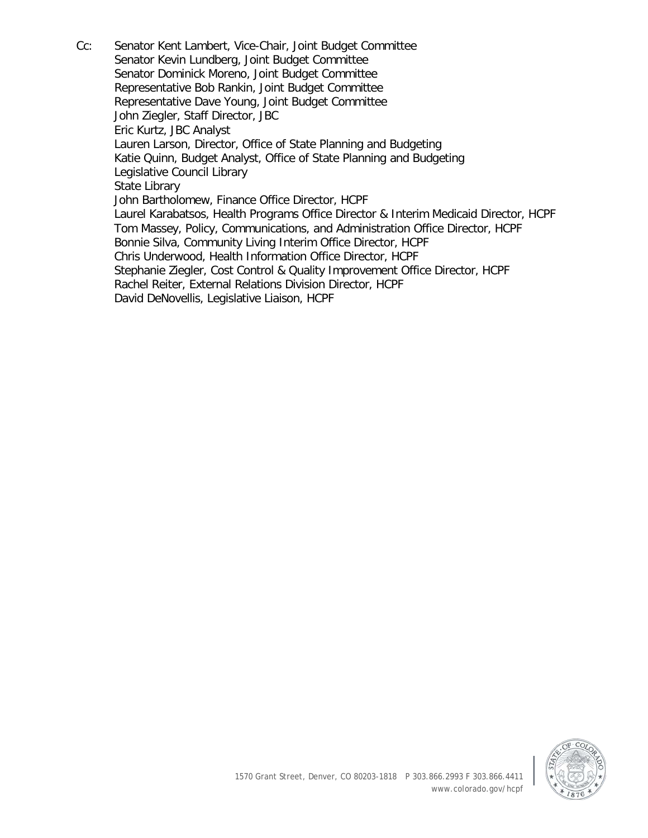Cc: Senator Kent Lambert, Vice-Chair, Joint Budget Committee Senator Kevin Lundberg, Joint Budget Committee Senator Dominick Moreno, Joint Budget Committee Representative Bob Rankin, Joint Budget Committee Representative Dave Young, Joint Budget Committee John Ziegler, Staff Director, JBC Eric Kurtz, JBC Analyst Lauren Larson, Director, Office of State Planning and Budgeting Katie Quinn, Budget Analyst, Office of State Planning and Budgeting Legislative Council Library State Library John Bartholomew, Finance Office Director, HCPF Laurel Karabatsos, Health Programs Office Director & Interim Medicaid Director, HCPF Tom Massey, Policy, Communications, and Administration Office Director, HCPF Bonnie Silva, Community Living Interim Office Director, HCPF Chris Underwood, Health Information Office Director, HCPF Stephanie Ziegler, Cost Control & Quality Improvement Office Director, HCPF Rachel Reiter, External Relations Division Director, HCPF David DeNovellis, Legislative Liaison, HCPF

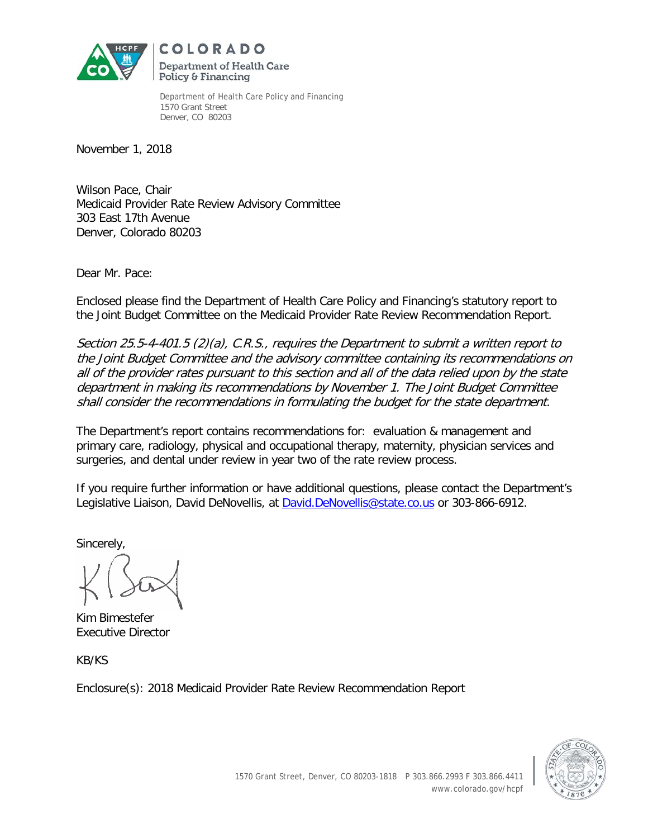

COLORADO Department of Health Care Policy & Financing

Department of Health Care Policy and Financing 1570 Grant Street Denver, CO 80203

November 1, 2018

Wilson Pace, Chair Medicaid Provider Rate Review Advisory Committee 303 East 17th Avenue Denver, Colorado 80203

Dear Mr. Pace:

Enclosed please find the Department of Health Care Policy and Financing's statutory report to the Joint Budget Committee on the Medicaid Provider Rate Review Recommendation Report.

Section 25.5-4-401.5 (2)(a), C.R.S., requires the Department to submit a written report to the Joint Budget Committee and the advisory committee containing its recommendations on all of the provider rates pursuant to this section and all of the data relied upon by the state department in making its recommendations by November 1. The Joint Budget Committee shall consider the recommendations in formulating the budget for the state department.

The Department's report contains recommendations for: evaluation & management and primary care, radiology, physical and occupational therapy, maternity, physician services and surgeries, and dental under review in year two of the rate review process.

If you require further information or have additional questions, please contact the Department's Legislative Liaison, David DeNovellis, at David.DeNovellis@state.co.us or 303-866-6912.

Sincerely,

Kim Bimestefer Executive Director

KB/KS

Enclosure(s): 2018 Medicaid Provider Rate Review Recommendation Report

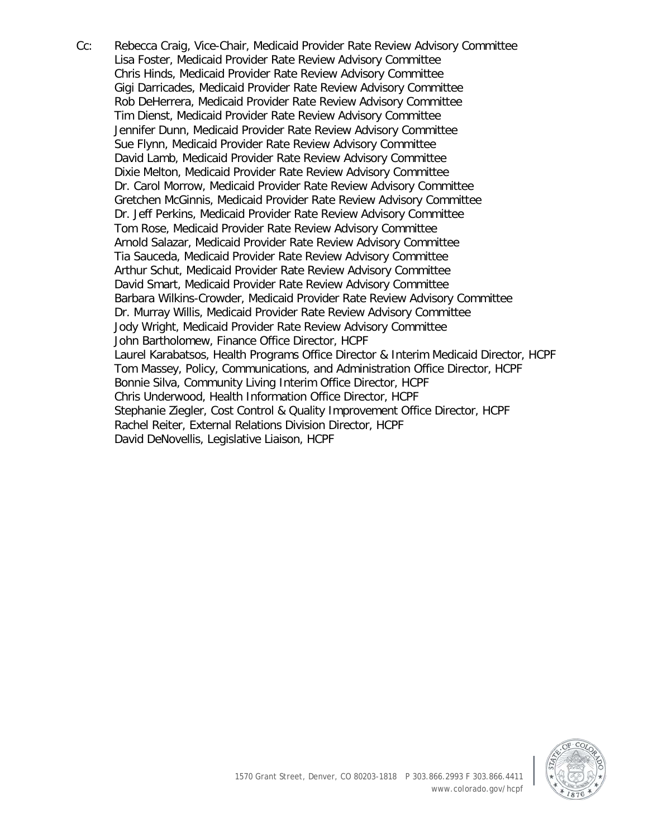Cc: Rebecca Craig, Vice-Chair, Medicaid Provider Rate Review Advisory Committee Lisa Foster, Medicaid Provider Rate Review Advisory Committee Chris Hinds, Medicaid Provider Rate Review Advisory Committee Gigi Darricades, Medicaid Provider Rate Review Advisory Committee Rob DeHerrera, Medicaid Provider Rate Review Advisory Committee Tim Dienst, Medicaid Provider Rate Review Advisory Committee Jennifer Dunn, Medicaid Provider Rate Review Advisory Committee Sue Flynn, Medicaid Provider Rate Review Advisory Committee David Lamb, Medicaid Provider Rate Review Advisory Committee Dixie Melton, Medicaid Provider Rate Review Advisory Committee Dr. Carol Morrow, Medicaid Provider Rate Review Advisory Committee Gretchen McGinnis, Medicaid Provider Rate Review Advisory Committee Dr. Jeff Perkins, Medicaid Provider Rate Review Advisory Committee Tom Rose, Medicaid Provider Rate Review Advisory Committee Arnold Salazar, Medicaid Provider Rate Review Advisory Committee Tia Sauceda, Medicaid Provider Rate Review Advisory Committee Arthur Schut, Medicaid Provider Rate Review Advisory Committee David Smart, Medicaid Provider Rate Review Advisory Committee Barbara Wilkins-Crowder, Medicaid Provider Rate Review Advisory Committee Dr. Murray Willis, Medicaid Provider Rate Review Advisory Committee Jody Wright, Medicaid Provider Rate Review Advisory Committee John Bartholomew, Finance Office Director, HCPF Laurel Karabatsos, Health Programs Office Director & Interim Medicaid Director, HCPF Tom Massey, Policy, Communications, and Administration Office Director, HCPF Bonnie Silva, Community Living Interim Office Director, HCPF Chris Underwood, Health Information Office Director, HCPF Stephanie Ziegler, Cost Control & Quality Improvement Office Director, HCPF Rachel Reiter, External Relations Division Director, HCPF David DeNovellis, Legislative Liaison, HCPF

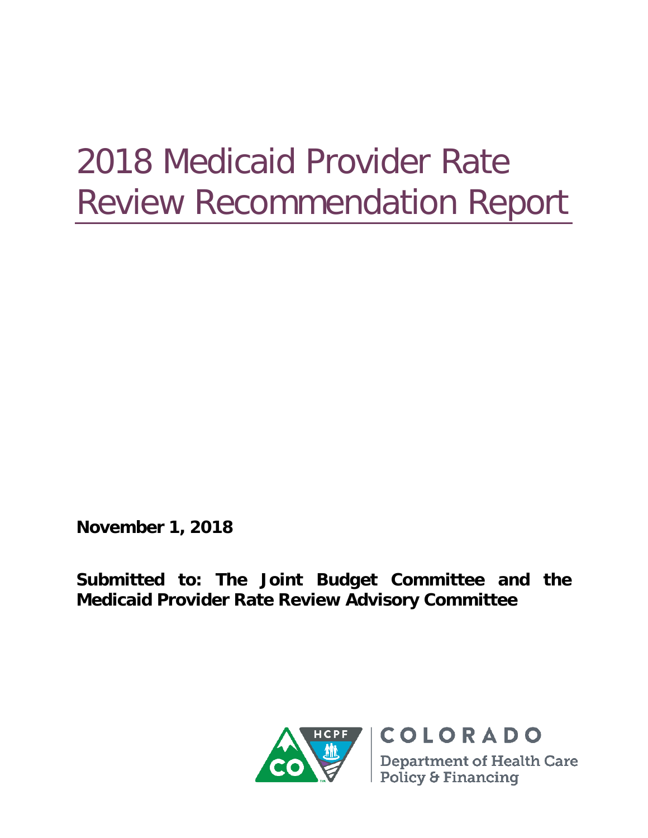# 2018 Medicaid Provider Rate Review Recommendation Report

**November 1, 2018**

**Submitted to: The Joint Budget Committee and the Medicaid Provider Rate Review Advisory Committee**

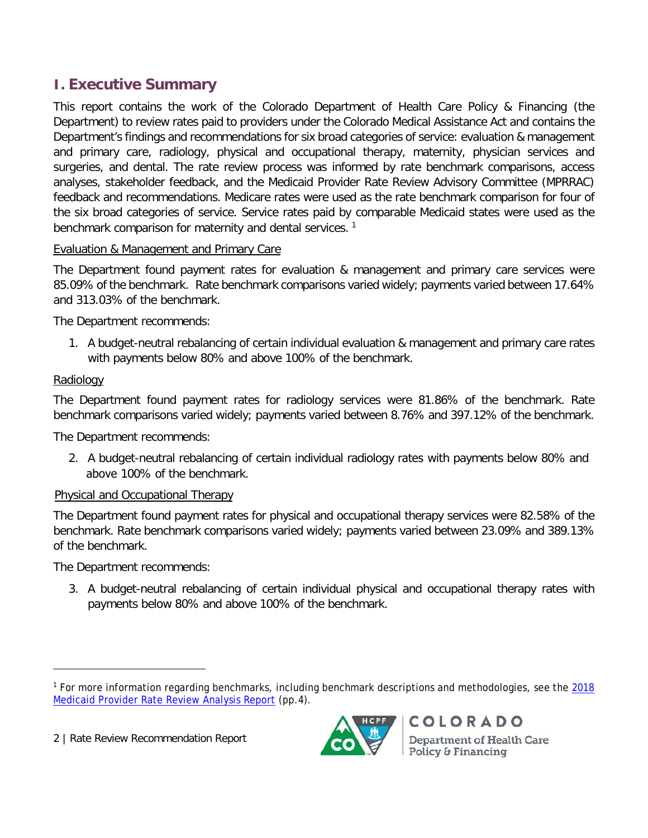# **I. Executive Summary**

This report contains the work of the Colorado Department of Health Care Policy & Financing (the Department) to review rates paid to providers under the Colorado Medical Assistance Act and contains the Department's findings and recommendations for six broad categories of service: evaluation & management and primary care, radiology, physical and occupational therapy, maternity, physician services and surgeries, and dental. The rate review process was informed by rate benchmark comparisons, access analyses, stakeholder feedback, and the Medicaid Provider Rate Review Advisory Committee (MPRRAC) feedback and recommendations. Medicare rates were used as the rate benchmark comparison for four of the six broad categories of service. Service rates paid by comparable Medicaid states were used as the benchmark comparison for maternity and dental services.<sup>[1](#page-5-0)</sup>

#### Evaluation & Management and Primary Care

The Department found payment rates for evaluation & management and primary care services were 85.09% of the benchmark. Rate benchmark comparisons varied widely; payments varied between 17.64% and 313.03% of the benchmark.

The Department recommends:

1. A budget-neutral rebalancing of certain individual evaluation & management and primary care rates with payments below 80% and above 100% of the benchmark.

#### **Radiology**

The Department found payment rates for radiology services were 81.86% of the benchmark. Rate benchmark comparisons varied widely; payments varied between 8.76% and 397.12% of the benchmark.

The Department recommends:

2. A budget-neutral rebalancing of certain individual radiology rates with payments below 80% and above 100% of the benchmark.

#### Physical and Occupational Therapy

The Department found payment rates for physical and occupational therapy services were 82.58% of the benchmark. Rate benchmark comparisons varied widely; payments varied between 23.09% and 389.13% of the benchmark.

The Department recommends:

3. A budget-neutral rebalancing of certain individual physical and occupational therapy rates with payments below 80% and above 100% of the benchmark.

2 | Rate Review Recommendation Report



<span id="page-5-0"></span><sup>1</sup> For more information regarding benchmarks, including benchmark descriptions and methodologies, see the [2018](https://www.colorado.gov/pacific/sites/default/files/2018%20Medicaid%20Provider%20Rate%20Review%20Analysis%20Report.pdf)  [Medicaid Provider Rate Review Analysis Report](https://www.colorado.gov/pacific/sites/default/files/2018%20Medicaid%20Provider%20Rate%20Review%20Analysis%20Report.pdf) (pp.4).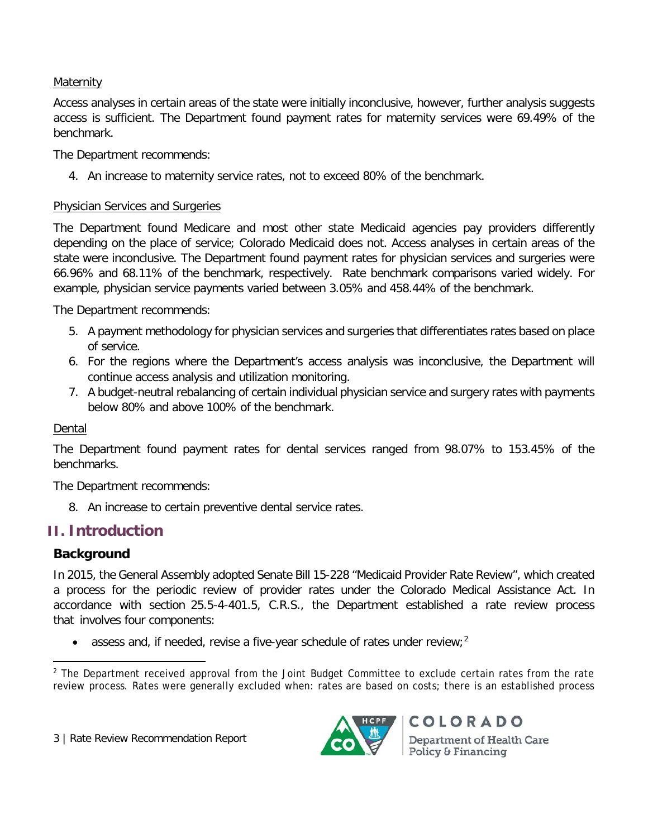#### Maternity

Access analyses in certain areas of the state were initially inconclusive, however, further analysis suggests access is sufficient. The Department found payment rates for maternity services were 69.49% of the benchmark.

The Department recommends:

4. An increase to maternity service rates, not to exceed 80% of the benchmark.

#### Physician Services and Surgeries

The Department found Medicare and most other state Medicaid agencies pay providers differently depending on the place of service; Colorado Medicaid does not. Access analyses in certain areas of the state were inconclusive. The Department found payment rates for physician services and surgeries were 66.96% and 68.11% of the benchmark, respectively. Rate benchmark comparisons varied widely. For example, physician service payments varied between 3.05% and 458.44% of the benchmark.

The Department recommends:

- 5. A payment methodology for physician services and surgeries that differentiates rates based on place of service.
- 6. For the regions where the Department's access analysis was inconclusive, the Department will continue access analysis and utilization monitoring.
- 7. A budget-neutral rebalancing of certain individual physician service and surgery rates with payments below 80% and above 100% of the benchmark.

#### Dental

The Department found payment rates for dental services ranged from 98.07% to 153.45% of the benchmarks.

The Department recommends:

8. An increase to certain preventive dental service rates.

# **II. Introduction**

# **Background**

In 2015, the General Assembly adopted Senate Bill 15-228 "Medicaid Provider Rate Review", which created a process for the periodic review of provider rates under the Colorado Medical Assistance Act. In accordance with section 25.5-4-401.5, C.R.S., the Department established a rate review process that involves four components:

• assess and, if needed, revise a five-year schedule of rates under review;<sup>[2](#page-6-0)</sup>



<span id="page-6-0"></span><sup>&</sup>lt;sup>2</sup> The Department received approval from the Joint Budget Committee to exclude certain rates from the rate review process. Rates were generally excluded when: rates are based on costs; there is an established process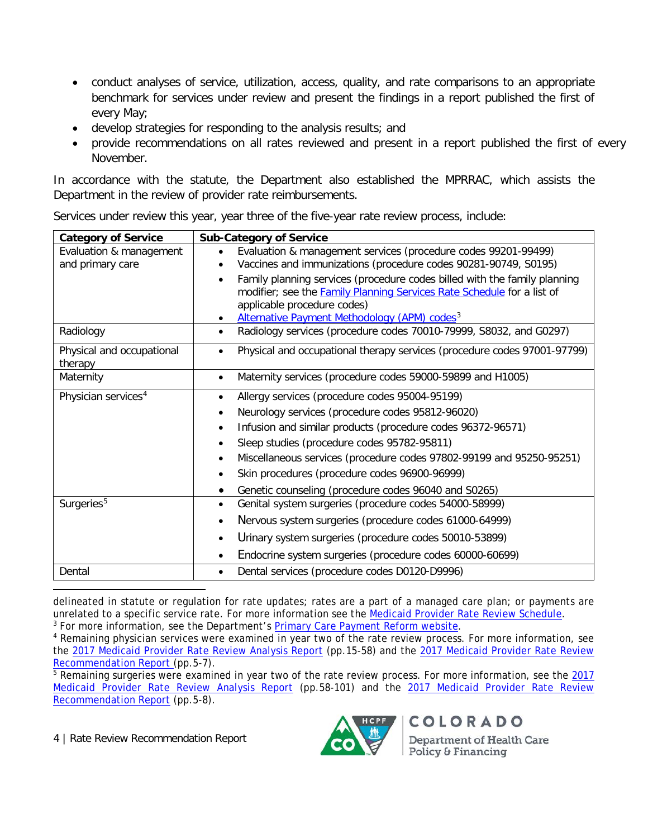- conduct analyses of service, utilization, access, quality, and rate comparisons to an appropriate benchmark for services under review and present the findings in a report published the first of every May;
- develop strategies for responding to the analysis results; and
- provide recommendations on all rates reviewed and present in a report published the first of every November.

In accordance with the statute, the Department also established the MPRRAC, which assists the Department in the review of provider rate reimbursements.

| Services under review this year, year three of the five-year rate review process, include: |
|--------------------------------------------------------------------------------------------|
|--------------------------------------------------------------------------------------------|

| <b>Category of Service</b>                  | <b>Sub-Category of Service</b>                                                                                                                                                                                                                                     |
|---------------------------------------------|--------------------------------------------------------------------------------------------------------------------------------------------------------------------------------------------------------------------------------------------------------------------|
| Evaluation & management<br>and primary care | Evaluation & management services (procedure codes 99201-99499)<br>Vaccines and immunizations (procedure codes 90281-90749, S0195)                                                                                                                                  |
|                                             | Family planning services (procedure codes billed with the family planning<br>$\bullet$<br>modifier; see the <b>Family Planning Services Rate Schedule</b> for a list of<br>applicable procedure codes)<br>Alternative Payment Methodology (APM) codes <sup>3</sup> |
| Radiology                                   | Radiology services (procedure codes 70010-79999, S8032, and G0297)<br>$\bullet$                                                                                                                                                                                    |
| Physical and occupational<br>therapy        | Physical and occupational therapy services (procedure codes 97001-97799)                                                                                                                                                                                           |
| Maternity                                   | Maternity services (procedure codes 59000-59899 and H1005)<br>$\bullet$                                                                                                                                                                                            |
| Physician services <sup>4</sup>             | Allergy services (procedure codes 95004-95199)                                                                                                                                                                                                                     |
|                                             | Neurology services (procedure codes 95812-96020)<br>٠                                                                                                                                                                                                              |
|                                             | Infusion and similar products (procedure codes 96372-96571)<br>$\bullet$                                                                                                                                                                                           |
|                                             | Sleep studies (procedure codes 95782-95811)                                                                                                                                                                                                                        |
|                                             | Miscellaneous services (procedure codes 97802-99199 and 95250-95251)                                                                                                                                                                                               |
|                                             | Skin procedures (procedure codes 96900-96999)                                                                                                                                                                                                                      |
|                                             | Genetic counseling (procedure codes 96040 and S0265)                                                                                                                                                                                                               |
| Surgeries <sup>5</sup>                      | Genital system surgeries (procedure codes 54000-58999)                                                                                                                                                                                                             |
|                                             | Nervous system surgeries (procedure codes 61000-64999)                                                                                                                                                                                                             |
|                                             | Urinary system surgeries (procedure codes 50010-53899)<br>$\bullet$                                                                                                                                                                                                |
|                                             | Endocrine system surgeries (procedure codes 60000-60699)<br>$\bullet$                                                                                                                                                                                              |
| Dental                                      | Dental services (procedure codes D0120-D9996)<br>$\bullet$                                                                                                                                                                                                         |

delineated in statute or regulation for rate updates; rates are a part of a managed care plan; or payments are<br>unrelated to a specific service rate. For more information see the Medicaid Provider Rate Review Schedule.

<span id="page-7-1"></span><span id="page-7-0"></span><sup>3</sup> For more information, see the Department's [Primary Care Payment Reform website.](https://www.colorado.gov/pacific/hcpf/primary-care-payment-reform-3)<br><sup>4</sup> Remaining physician services were examined in year two of the rate review process. For more information, see the [2017 Medicaid Provider Rate Review Analysis Report](https://www.colorado.gov/pacific/sites/default/files/2017%20Medicaid%20Provider%20Rate%20Review%20Analysis%20Report%20-%20Physician%20Services%2C%20Surgery%2C%20and%20Anesthesia.pdf) (pp.15-58) and the [2017 Medicaid Provider Rate Review](https://www.colorado.gov/pacific/sites/default/files/2017%20Medicaid%20Provider%20Rate%20Review%20Recommendation%20Report%20November%202017.pdf)  [Recommendation Report](https://www.colorado.gov/pacific/sites/default/files/2017%20Medicaid%20Provider%20Rate%20Review%20Recommendation%20Report%20November%202017.pdf) (pp.5-7).

<span id="page-7-2"></span><sup>5</sup> Remaining surgeries were examined in year two of the rate review process. For more information, see the 2017 [Medicaid Provider Rate Review Analysis Report](https://www.colorado.gov/pacific/sites/default/files/2017%20Medicaid%20Provider%20Rate%20Review%20Analysis%20Report%20-%20Physician%20Services%2C%20Surgery%2C%20and%20Anesthesia.pdf) (pp.58-101) and the 2017 Medicaid Provider Rate Review [Recommendation Report](https://www.colorado.gov/pacific/sites/default/files/2017%20Medicaid%20Provider%20Rate%20Review%20Recommendation%20Report%20November%202017.pdf) (pp.5-8).

4 | Rate Review Recommendation Report

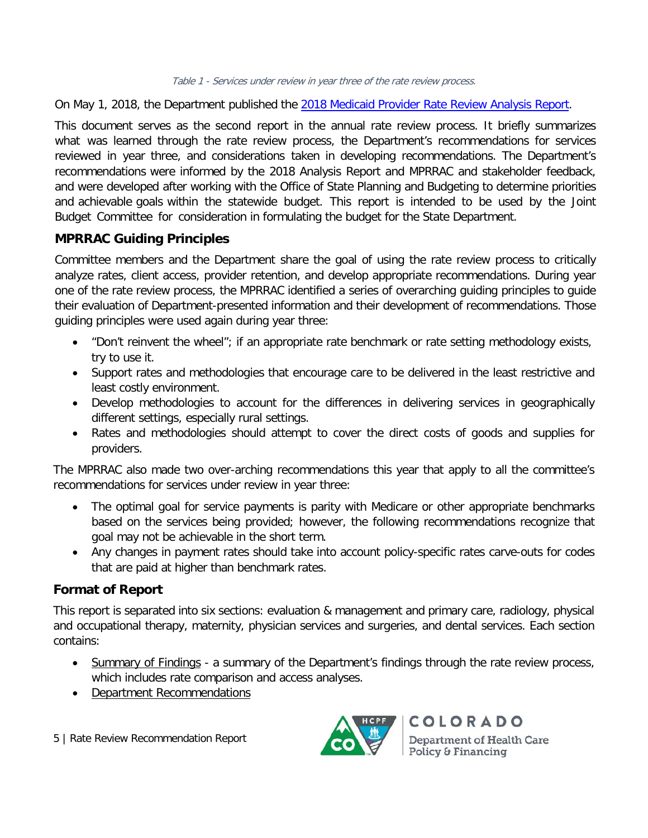On May 1, 2018, the Department published the [2018 Medicaid](https://www.colorado.gov/pacific/sites/default/files/2018%20Medicaid%20Provider%20Rate%20Review%20Analysis%20Report.pdf) Provider Rate Review Analysis Report.

This document serves as the second report in the annual rate review process. It briefly summarizes what was learned through the rate review process, the Department's recommendations for services reviewed in year three, and considerations taken in developing recommendations. The Department's recommendations were informed by the 2018 Analysis Report and MPRRAC and stakeholder feedback, and were developed after working with the Office of State Planning and Budgeting to determine priorities and achievable goals within the statewide budget. This report is intended to be used by the Joint Budget Committee for consideration in formulating the budget for the State Department.

#### **MPRRAC Guiding Principles**

Committee members and the Department share the goal of using the rate review process to critically analyze rates, client access, provider retention, and develop appropriate recommendations. During year one of the rate review process, the MPRRAC identified a series of overarching guiding principles to guide their evaluation of Department-presented information and their development of recommendations. Those guiding principles were used again during year three:

- "Don't reinvent the wheel"; if an appropriate rate benchmark or rate setting methodology exists, try to use it.
- Support rates and methodologies that encourage care to be delivered in the least restrictive and least costly environment.
- Develop methodologies to account for the differences in delivering services in geographically different settings, especially rural settings.
- Rates and methodologies should attempt to cover the direct costs of goods and supplies for providers.

The MPRRAC also made two over-arching recommendations this year that apply to all the committee's recommendations for services under review in year three:

- The optimal goal for service payments is parity with Medicare or other appropriate benchmarks based on the services being provided; however, the following recommendations recognize that goal may not be achievable in the short term.
- Any changes in payment rates should take into account policy-specific rates carve-outs for codes that are paid at higher than benchmark rates.

#### **Format of Report**

This report is separated into six sections: evaluation & management and primary care, radiology, physical and occupational therapy, maternity, physician services and surgeries, and dental services. Each section contains:

- Summary of Findings a summary of the Department's findings through the rate review process, which includes rate comparison and access analyses.
- Department Recommendations
- 5 | Rate Review Recommendation Report

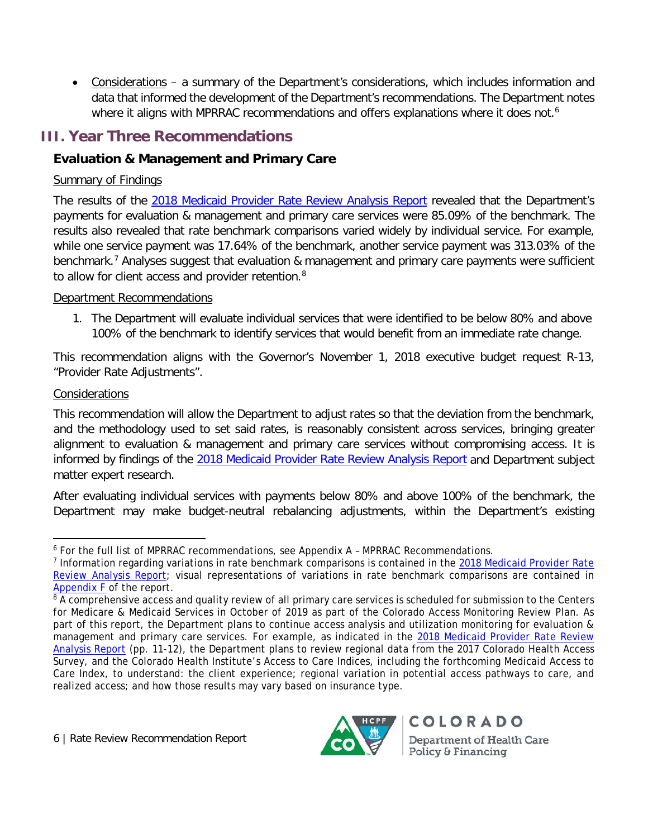• Considerations – a summary of the Department's considerations, which includes information and data that informed the development of the Department's recommendations. The Department notes where it aligns with MPRRAC recommendations and offers explanations where it does not.<sup>6</sup>

# **III. Year Three Recommendations**

# **Evaluation & Management and Primary Care**

## Summary of Findings

The results of the [2018 Medicaid Provider Rate Review Analysis Report](https://www.colorado.gov/pacific/sites/default/files/2018%20Medicaid%20Provider%20Rate%20Review%20Analysis%20Report.pdf) revealed that the Department's payments for evaluation & management and primary care services were 85.09% of the benchmark. The results also revealed that rate benchmark comparisons varied widely by individual service. For example, while one service payment was 17.64% of the benchmark, another service payment was 313.03% of the benchmark.<sup>[7](#page-9-1)</sup> Analyses suggest that evaluation & management and primary care payments were sufficient to allow for client access and provider retention.<sup>[8](#page-9-2)</sup>

## Department Recommendations

1. The Department will evaluate individual services that were identified to be below 80% and above 100% of the benchmark to identify services that would benefit from an immediate rate change.

This recommendation aligns with the Governor's November 1, 2018 executive budget request R-13, "Provider Rate Adjustments".

## Considerations

This recommendation will allow the Department to adjust rates so that the deviation from the benchmark, and the methodology used to set said rates, is reasonably consistent across services, bringing greater alignment to evaluation & management and primary care services without compromising access. It is informed by findings of the [2018 Medicaid Provider Rate Review Analysis Report](https://www.colorado.gov/pacific/sites/default/files/2018%20Medicaid%20Provider%20Rate%20Review%20Analysis%20Report.pdf) and Department subject matter expert research.

After evaluating individual services with payments below 80% and above 100% of the benchmark, the Department may make budget-neutral rebalancing adjustments, within the Department's existing



<span id="page-9-0"></span><sup>6</sup> For the full list of MPRRAC recommendations, see Appendix A – MPRRAC Recommendations.

<span id="page-9-1"></span><sup>&</sup>lt;sup>7</sup> Information regarding variations in rate benchmark comparisons is contained in the 2018 Medicaid Provider Rate [Review Analysis Report;](https://www.colorado.gov/pacific/sites/default/files/2018%20Medicaid%20Provider%20Rate%20Review%20Analysis%20Report.pdf) visual representations of variations in rate benchmark comparisons are contained in [Appendix F](https://www.colorado.gov/pacific/sites/default/files/5.%20Appendix%20F%20-%20Rate%20Ratio%20Scatterplots%20July%2013%202018.pdf) of the report.

<span id="page-9-2"></span><sup>&</sup>lt;sup>8</sup> A comprehensive access and quality review of all primary care services is scheduled for submission to the Centers for Medicare & Medicaid Services in October of 2019 as part of the Colorado Access Monitoring Review Plan. As part of this report, the Department plans to continue access analysis and utilization monitoring for evaluation & management and primary care services. For example, as indicated in the [2018 Medicaid Provider Rate Review](https://www.colorado.gov/pacific/sites/default/files/2018%20Medicaid%20Provider%20Rate%20Review%20Analysis%20Report.pdf)  [Analysis Report](https://www.colorado.gov/pacific/sites/default/files/2018%20Medicaid%20Provider%20Rate%20Review%20Analysis%20Report.pdf) (pp. 11-12), the Department plans to review regional data from the 2017 Colorado Health Access Survey, and the Colorado Health Institute's Access to Care Indices, including the forthcoming Medicaid Access to Care Index, to understand: the client experience; regional variation in potential access pathways to care, and realized access; and how those results may vary based on insurance type.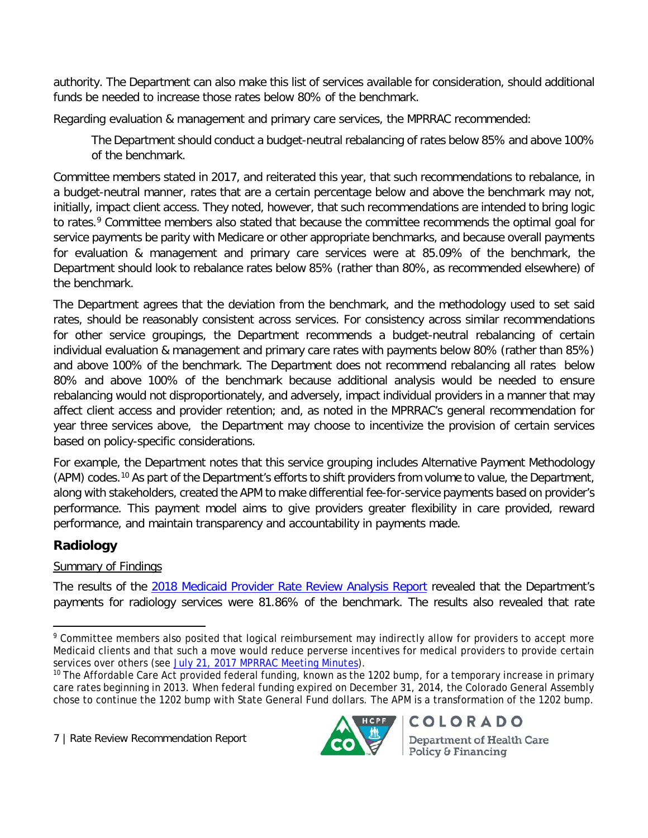authority. The Department can also make this list of services available for consideration, should additional funds be needed to increase those rates below 80% of the benchmark.

Regarding evaluation & management and primary care services, the MPRRAC recommended:

The Department should conduct a budget-neutral rebalancing of rates below 85% and above 100% of the benchmark.

Committee members stated in 2017, and reiterated this year, that such recommendations to rebalance, in a budget-neutral manner, rates that are a certain percentage below and above the benchmark may not, initially, impact client access. They noted, however, that such recommendations are intended to bring logic to rates.<sup>[9](#page-10-0)</sup> Committee members also stated that because the committee recommends the optimal goal for service payments be parity with Medicare or other appropriate benchmarks, and because overall payments for evaluation & management and primary care services were at 85.09% of the benchmark, the Department should look to rebalance rates below 85% (rather than 80%, as recommended elsewhere) of the benchmark.

The Department agrees that the deviation from the benchmark, and the methodology used to set said rates, should be reasonably consistent across services. For consistency across similar recommendations for other service groupings, the Department recommends a budget-neutral rebalancing of certain individual evaluation & management and primary care rates with payments below 80% (rather than 85%) and above 100% of the benchmark. The Department does not recommend rebalancing all rates below 80% and above 100% of the benchmark because additional analysis would be needed to ensure rebalancing would not disproportionately, and adversely, impact individual providers in a manner that may affect client access and provider retention; and, as noted in the MPRRAC's general recommendation for year three services above, the Department may choose to incentivize the provision of certain services based on policy-specific considerations.

For example, the Department notes that this service grouping includes Alternative Payment Methodology (APM) codes.<sup>[10](#page-10-1)</sup> As part of the Department's efforts to shift providers from volume to value, the Department, along with stakeholders, created the APM to make differential fee-for-service payments based on provider's performance. This payment model aims to give providers greater flexibility in care provided, reward performance, and maintain transparency and accountability in payments made.

# **Radiology**

# Summary of Findings

The results of the [2018 Medicaid Provider Rate Review Analysis Report](https://www.colorado.gov/pacific/sites/default/files/2018%20Medicaid%20Provider%20Rate%20Review%20Analysis%20Report.pdf) revealed that the Department's payments for radiology services were 81.86% of the benchmark. The results also revealed that rate

7 | Rate Review Recommendation Report



<span id="page-10-0"></span><sup>&</sup>lt;sup>9</sup> Committee members also posited that logical reimbursement may indirectly allow for providers to accept more Medicaid clients and that such a move would reduce perverse incentives for medical providers to provide certain services over others (see [July 21, 2017 MPRRAC Meeting Minutes\)](https://www.colorado.gov/pacific/sites/default/files/MPRRAC%20Meeting%20Minutes%20July%202017.pdf).

<span id="page-10-1"></span><sup>&</sup>lt;sup>10</sup> The Affordable Care Act provided federal funding, known as the 1202 bump, for a temporary increase in primary care rates beginning in 2013. When federal funding expired on December 31, 2014, the Colorado General Assembly chose to continue the 1202 bump with State General Fund dollars. The APM is a transformation of the 1202 bump.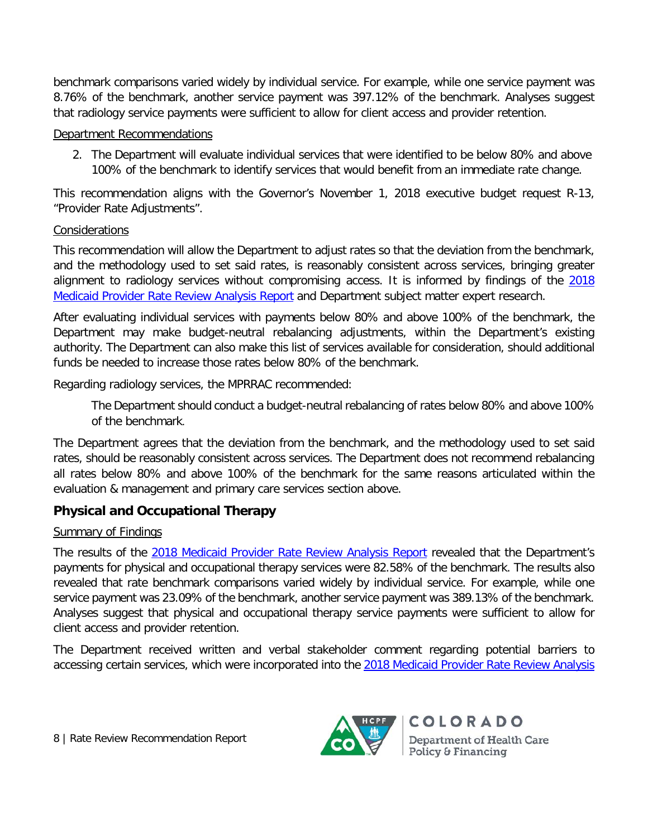benchmark comparisons varied widely by individual service. For example, while one service payment was 8.76% of the benchmark, another service payment was 397.12% of the benchmark. Analyses suggest that radiology service payments were sufficient to allow for client access and provider retention.

#### Department Recommendations

2. The Department will evaluate individual services that were identified to be below 80% and above 100% of the benchmark to identify services that would benefit from an immediate rate change.

This recommendation aligns with the Governor's November 1, 2018 executive budget request R-13, "Provider Rate Adjustments".

#### Considerations

This recommendation will allow the Department to adjust rates so that the deviation from the benchmark, and the methodology used to set said rates, is reasonably consistent across services, bringing greater alignment to radiology services without compromising access. It is informed by findings of the [2018](https://www.colorado.gov/pacific/sites/default/files/2018%20Medicaid%20Provider%20Rate%20Review%20Analysis%20Report.pdf)  [Medicaid Provider Rate Review Analysis Report](https://www.colorado.gov/pacific/sites/default/files/2018%20Medicaid%20Provider%20Rate%20Review%20Analysis%20Report.pdf) and Department subject matter expert research.

After evaluating individual services with payments below 80% and above 100% of the benchmark, the Department may make budget-neutral rebalancing adjustments, within the Department's existing authority. The Department can also make this list of services available for consideration, should additional funds be needed to increase those rates below 80% of the benchmark.

Regarding radiology services, the MPRRAC recommended:

The Department should conduct a budget-neutral rebalancing of rates below 80% and above 100% of the benchmark.

The Department agrees that the deviation from the benchmark, and the methodology used to set said rates, should be reasonably consistent across services. The Department does not recommend rebalancing all rates below 80% and above 100% of the benchmark for the same reasons articulated within the evaluation & management and primary care services section above.

# **Physical and Occupational Therapy**

#### Summary of Findings

The results of the [2018 Medicaid Provider Rate Review Analysis Report](https://www.colorado.gov/pacific/sites/default/files/2018%20Medicaid%20Provider%20Rate%20Review%20Analysis%20Report.pdf) revealed that the Department's payments for physical and occupational therapy services were 82.58% of the benchmark. The results also revealed that rate benchmark comparisons varied widely by individual service. For example, while one service payment was 23.09% of the benchmark, another service payment was 389.13% of the benchmark. Analyses suggest that physical and occupational therapy service payments were sufficient to allow for client access and provider retention.

The Department received written and verbal stakeholder comment regarding potential barriers to accessing certain services, which were incorporated into the [2018 Medicaid Provider Rate](https://www.colorado.gov/pacific/sites/default/files/2018%20Medicaid%20Provider%20Rate%20Review%20Analysis%20Report.pdf) Review Analysis

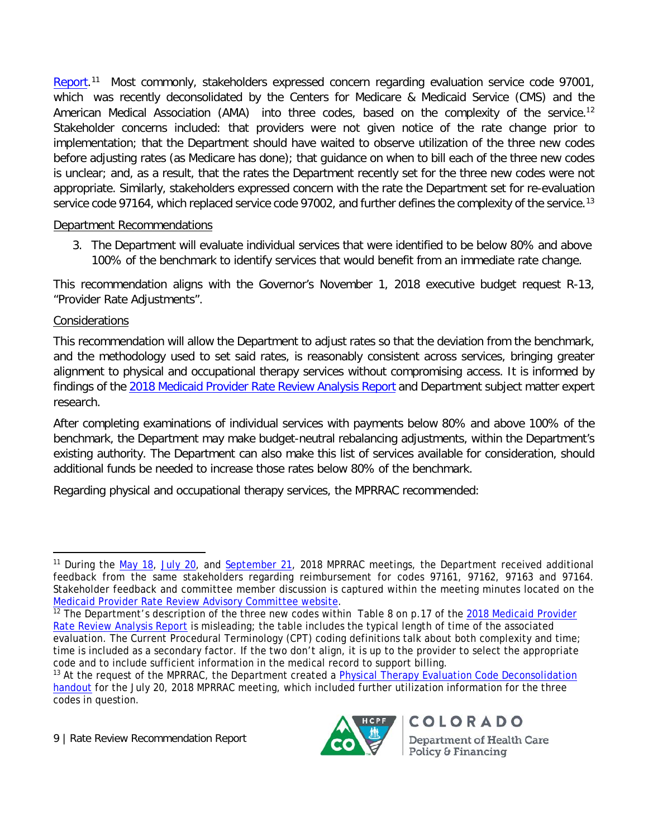[Report.](https://www.colorado.gov/pacific/sites/default/files/2018%20Medicaid%20Provider%20Rate%20Review%20Analysis%20Report.pdf)<sup>[11](#page-12-0)</sup> Most commonly, stakeholders expressed concern regarding evaluation service code 97001, which was recently deconsolidated by the Centers for Medicare & Medicaid Service (CMS) and the American Medical Association (AMA) into three codes, based on the complexity of the service.<sup>[1](#page-12-1)2</sup> Stakeholder concerns included: that providers were not given notice of the rate change prior to implementation; that the Department should have waited to observe utilization of the three new codes before adjusting rates (as Medicare has done); that guidance on when to bill each of the three new codes is unclear; and, as a result, that the rates the Department recently set for the three new codes were not appropriate. Similarly, stakeholders expressed concern with the rate the Department set for re-evaluation service code 97164, which replaced service code 97002, and further defines the complexity of the service.<sup>[13](#page-12-2)</sup>

#### Department Recommendations

3. The Department will evaluate individual services that were identified to be below 80% and above 100% of the benchmark to identify services that would benefit from an immediate rate change.

This recommendation aligns with the Governor's November 1, 2018 executive budget request R-13, "Provider Rate Adjustments".

#### Considerations

This recommendation will allow the Department to adjust rates so that the deviation from the benchmark, and the methodology used to set said rates, is reasonably consistent across services, bringing greater alignment to physical and occupational therapy services without compromising access. It is informed by findings of the [2018 Medicaid Provider Rate Review Analysis Report](https://www.colorado.gov/pacific/sites/default/files/2018%20Medicaid%20Provider%20Rate%20Review%20Analysis%20Report.pdf) and Department subject matter expert research.

After completing examinations of individual services with payments below 80% and above 100% of the benchmark, the Department may make budget-neutral rebalancing adjustments, within the Department's existing authority. The Department can also make this list of services available for consideration, should additional funds be needed to increase those rates below 80% of the benchmark.

Regarding physical and occupational therapy services, the MPRRAC recommended:

9 | Rate Review Recommendation Report



<span id="page-12-0"></span><sup>&</sup>lt;sup>11</sup> During the [May 18,](https://www.colorado.gov/pacific/sites/default/files/Medicaid%20Provider%20Rate%20Review%20Committee%20Meeting%20Minutes%20May,%202018.pdf) [July 20,](https://www.colorado.gov/pacific/sites/default/files/Medicaid%20Provider%20Rate%20Review%20Advisory%20Committee%20Minutes%20July%2020,%202018%20.pdf) and [September 21,](https://www.colorado.gov/pacific/sites/default/files/Medicaid%20Provider%20Rate%20Review%20Advisory%20Committee%20Minutes%20September%2021,%202018.pdf) 2018 MPRRAC meetings, the Department received additional feedback from the same stakeholders regarding reimbursement for codes 97161, 97162, 97163 and 97164. Stakeholder feedback and committee member discussion is captured within the meeting minutes located on the [Medicaid Provider Rate Review Advisory Committee website.](https://www.colorado.gov/pacific/hcpf/medicaid-provider-rate-review-advisory-committee)<br><sup>12</sup> The Department's description of the three new codes within Table 8 on p.17 of the 2018 Medicaid Provider

<span id="page-12-1"></span>[Rate Review Analysis Report](https://www.colorado.gov/pacific/sites/default/files/2018%20Medicaid%20Provider%20Rate%20Review%20Analysis%20Report.pdf) is misleading; the table includes the typical length of time of the associated evaluation. The Current Procedural Terminology (CPT) coding definitions talk about both complexity and time; time is included as a secondary factor. If the two don't align, it is up to the provider to select the appropriate code and to include sufficient information in the medical record to support billing.

<span id="page-12-2"></span><sup>&</sup>lt;sup>13</sup> At the request of the MPRRAC, the Department created a Physical Therapy Evaluation Code Deconsolidation [handout](https://www.colorado.gov/pacific/sites/default/files/4.%20Handout%20-%20Physical%20Therapy%20Evaluation%20Code%20Deconsolidation%20-%20Additional%20Information%20July%2013%202018.pdf) for the July 20, 2018 MPRRAC meeting, which included further utilization information for the three codes in question.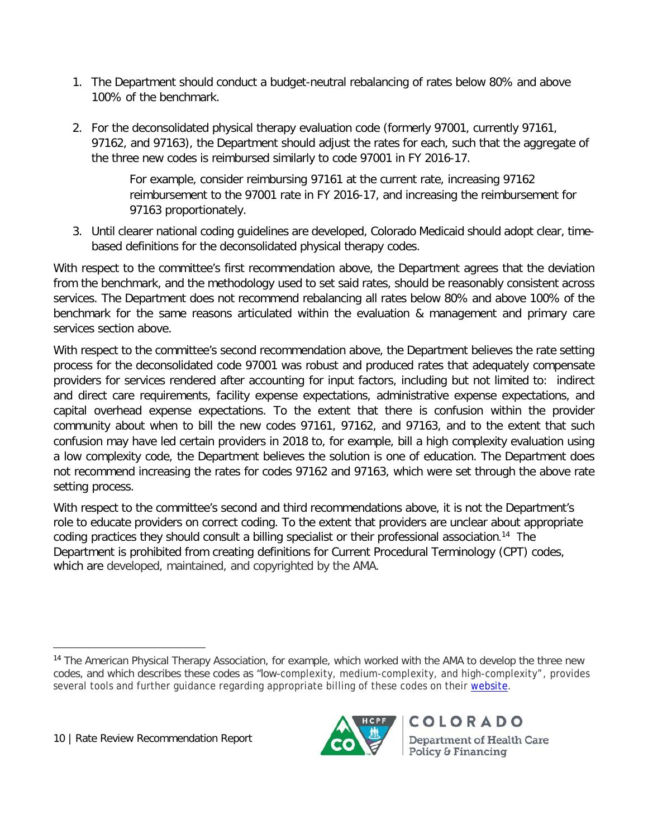- 1. The Department should conduct a budget-neutral rebalancing of rates below 80% and above 100% of the benchmark.
- 2. For the deconsolidated physical therapy evaluation code (formerly 97001, currently 97161, 97162, and 97163), the Department should adjust the rates for each, such that the aggregate of the three new codes is reimbursed similarly to code 97001 in FY 2016-17.

For example, consider reimbursing 97161 at the current rate, increasing 97162 reimbursement to the 97001 rate in FY 2016-17, and increasing the reimbursement for 97163 proportionately.

3. Until clearer national coding guidelines are developed, Colorado Medicaid should adopt clear, timebased definitions for the deconsolidated physical therapy codes.

With respect to the committee's first recommendation above, the Department agrees that the deviation from the benchmark, and the methodology used to set said rates, should be reasonably consistent across services. The Department does not recommend rebalancing all rates below 80% and above 100% of the benchmark for the same reasons articulated within the evaluation & management and primary care services section above.

With respect to the committee's second recommendation above, the Department believes the rate setting process for the deconsolidated code 97001 was robust and produced rates that adequately compensate providers for services rendered after accounting for input factors, including but not limited to: indirect and direct care requirements, facility expense expectations, administrative expense expectations, and capital overhead expense expectations. To the extent that there is confusion within the provider community about when to bill the new codes 97161, 97162, and 97163, and to the extent that such confusion may have led certain providers in 2018 to, for example, bill a high complexity evaluation using a low complexity code, the Department believes the solution is one of education. The Department does not recommend increasing the rates for codes 97162 and 97163, which were set through the above rate setting process.

With respect to the committee's second and third recommendations above, it is not the Department's role to educate providers on correct coding. To the extent that providers are unclear about appropriate coding practices they should consult a billing specialist or their professional association.<sup>[14](#page-13-0)</sup> The Department is prohibited from creating definitions for Current Procedural Terminology (CPT) codes, which are developed, maintained, and copyrighted by the AMA.



<span id="page-13-0"></span><sup>14</sup> The American Physical Therapy Association, for example, which worked with the AMA to develop the three new codes, and which describes these codes as "low-complexity, medium-complexity, and high-complexity", provides several tools and further guidance regarding appropriate billing of these codes on their [website.](http://www.apta.org/EvalCodes/)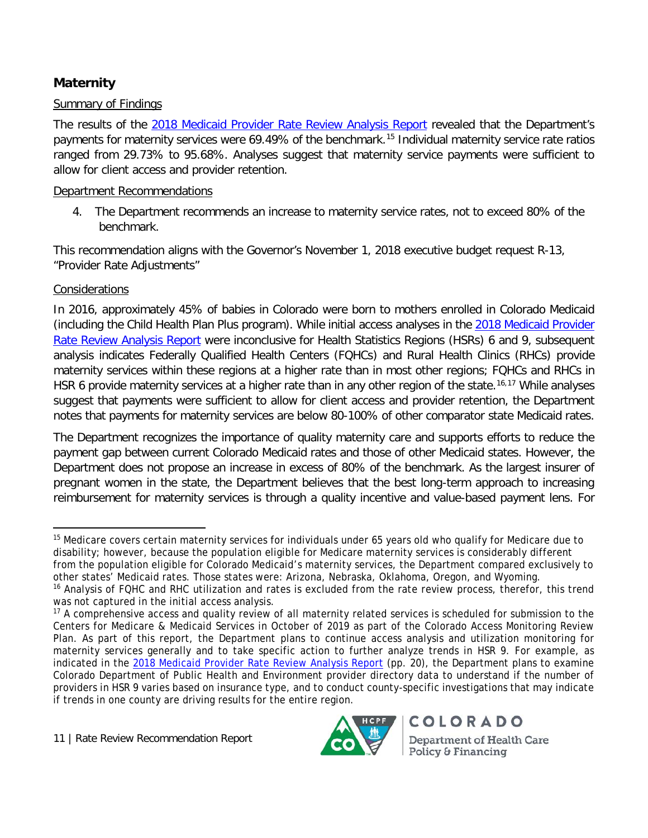# **Maternity**

#### Summary of Findings

The results of the [2018 Medicaid Provider Rate Review Analysis Report](https://www.colorado.gov/pacific/sites/default/files/2018%20Medicaid%20Provider%20Rate%20Review%20Analysis%20Report.pdf) revealed that the Department's payments for maternity services were 69.49% of the benchmark.<sup>[15](#page-14-0)</sup> Individual maternity service rate ratios ranged from 29.73% to 95.68%. Analyses suggest that maternity service payments were sufficient to allow for client access and provider retention.

#### Department Recommendations

4. The Department recommends an increase to maternity service rates, not to exceed 80% of the benchmark.

This recommendation aligns with the Governor's November 1, 2018 executive budget request R-13, "Provider Rate Adjustments"

#### **Considerations**

In 2016, approximately 45% of babies in Colorado were born to mothers enrolled in Colorado Medicaid (including the Child Health Plan Plus program). While initial access analyses in the 2018 Medicaid Provider [Rate Review Analysis Report](https://www.colorado.gov/pacific/sites/default/files/2018%20Medicaid%20Provider%20Rate%20Review%20Analysis%20Report.pdf) were inconclusive for Health Statistics Regions (HSRs) 6 and 9, subsequent analysis indicates Federally Qualified Health Centers (FQHCs) and Rural Health Clinics (RHCs) provide maternity services within these regions at a higher rate than in most other regions; FQHCs and RHCs in HSR 6 provide maternity services at a higher rate than in any other region of the state.<sup>[16](#page-14-1),[17](#page-14-2)</sup> While analyses suggest that payments were sufficient to allow for client access and provider retention, the Department notes that payments for maternity services are below 80-100% of other comparator state Medicaid rates.

The Department recognizes the importance of quality maternity care and supports efforts to reduce the payment gap between current Colorado Medicaid rates and those of other Medicaid states. However, the Department does not propose an increase in excess of 80% of the benchmark. As the largest insurer of pregnant women in the state, the Department believes that the best long-term approach to increasing reimbursement for maternity services is through a quality incentive and value-based payment lens. For



<span id="page-14-0"></span><sup>&</sup>lt;sup>15</sup> Medicare covers certain maternity services for individuals under 65 years old who qualify for Medicare due to disability; however, because the population eligible for Medicare maternity services is considerably different from the population eligible for Colorado Medicaid's maternity services, the Department compared exclusively to other states' Medicaid rates. Those states were: Arizona, Nebraska, Oklahoma, Oregon, and Wyoming.

<span id="page-14-1"></span><sup>&</sup>lt;sup>16</sup> Analysis of FQHC and RHC utilization and rates is excluded from the rate review process, therefor, this trend was not captured in the initial access analysis.

<span id="page-14-2"></span><sup>&</sup>lt;sup>17</sup> A comprehensive access and quality review of all maternity related services is scheduled for submission to the Centers for Medicare & Medicaid Services in October of 2019 as part of the Colorado Access Monitoring Review Plan. As part of this report, the Department plans to continue access analysis and utilization monitoring for maternity services generally and to take specific action to further analyze trends in HSR 9. For example, as indicated in the [2018 Medicaid Provider Rate Review Analysis Report](https://www.colorado.gov/pacific/sites/default/files/2018%20Medicaid%20Provider%20Rate%20Review%20Analysis%20Report.pdf) (pp. 20), the Department plans to examine Colorado Department of Public Health and Environment provider directory data to understand if the number of providers in HSR 9 varies based on insurance type, and to conduct county-specific investigations that may indicate if trends in one county are driving results for the entire region.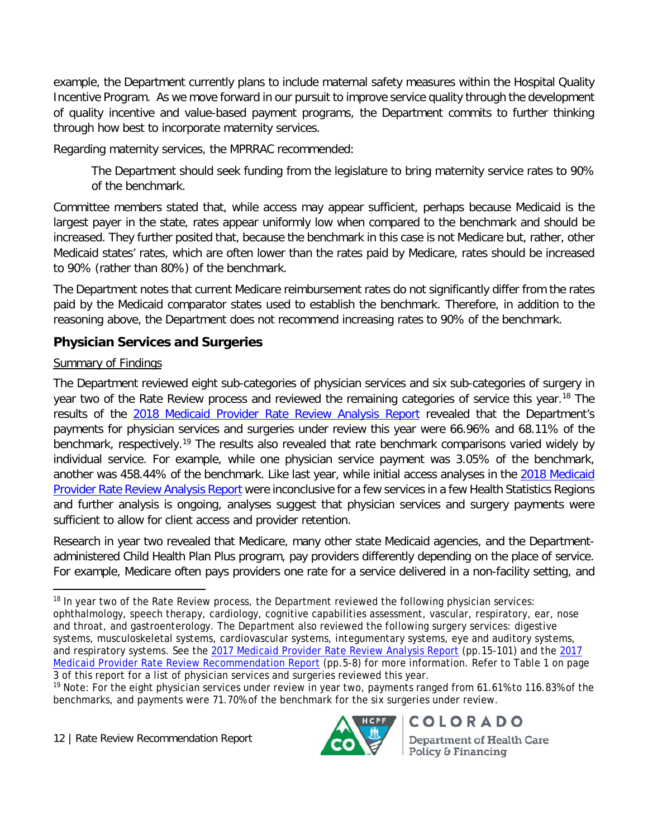example, the Department currently plans to include maternal safety measures within the Hospital Quality Incentive Program. As we move forward in our pursuit to improve service quality through the development of quality incentive and value-based payment programs, the Department commits to further thinking through how best to incorporate maternity services.

Regarding maternity services, the MPRRAC recommended:

The Department should seek funding from the legislature to bring maternity service rates to 90% of the benchmark.

Committee members stated that, while access may appear sufficient, perhaps because Medicaid is the largest payer in the state, rates appear uniformly low when compared to the benchmark and should be increased. They further posited that, because the benchmark in this case is not Medicare but, rather, other Medicaid states' rates, which are often lower than the rates paid by Medicare, rates should be increased to 90% (rather than 80%) of the benchmark.

The Department notes that current Medicare reimbursement rates do not significantly differ from the rates paid by the Medicaid comparator states used to establish the benchmark. Therefore, in addition to the reasoning above, the Department does not recommend increasing rates to 90% of the benchmark.

## **Physician Services and Surgeries**

#### Summary of Findings

The Department reviewed eight sub-categories of physician services and six sub-categories of surgery in year two of the Rate Review process and reviewed the remaining categories of service this year.<sup>[18](#page-15-0)</sup> The results of the [2018 Medicaid Provider Rate Review Analysis Report](https://www.colorado.gov/pacific/sites/default/files/2018%20Medicaid%20Provider%20Rate%20Review%20Analysis%20Report.pdf) revealed that the Department's payments for physician services and surgeries under review this year were 66.96% and 68.11% of the benchmark, respectively.<sup>[19](#page-15-1)</sup> The results also revealed that rate benchmark comparisons varied widely by individual service. For example, while one physician service payment was 3.05% of the benchmark, another was 458.44% of the benchmark. Like last year, while initial access analyses in the [2018 Medicaid](https://www.colorado.gov/pacific/sites/default/files/2018%20Medicaid%20Provider%20Rate%20Review%20Analysis%20Report.pdf)  [Provider Rate Review Analysis Report](https://www.colorado.gov/pacific/sites/default/files/2018%20Medicaid%20Provider%20Rate%20Review%20Analysis%20Report.pdf) were inconclusive for a few services in a few Health Statistics Regions and further analysis is ongoing, analyses suggest that physician services and surgery payments were sufficient to allow for client access and provider retention.

Research in year two revealed that Medicare, many other state Medicaid agencies, and the Departmentadministered Child Health Plan Plus program, pay providers differently depending on the place of service. For example, Medicare often pays providers one rate for a service delivered in a non-facility setting, and

<span id="page-15-0"></span> $18$  In year two of the Rate Review process, the Department reviewed the following physician services: ophthalmology, speech therapy, cardiology, cognitive capabilities assessment, vascular, respiratory, ear, nose and throat, and gastroenterology. The Department also reviewed the following surgery services: digestive systems, musculoskeletal systems, cardiovascular systems, integumentary systems, eye and auditory systems, and respiratory systems. See the [2017 Medicaid Provider Rate Review Analysis Report](https://www.colorado.gov/pacific/sites/default/files/2017%20Medicaid%20Provider%20Rate%20Review%20Analysis%20Report%20-%20Physician%20Services%2C%20Surgery%2C%20and%20Anesthesia.pdf) (pp.15-101) and the [2017](https://www.colorado.gov/pacific/sites/default/files/2017%20Medicaid%20Provider%20Rate%20Review%20Recommendation%20Report%20November%202017.pdf)  [Medicaid Provider Rate Review Recommendation Report](https://www.colorado.gov/pacific/sites/default/files/2017%20Medicaid%20Provider%20Rate%20Review%20Recommendation%20Report%20November%202017.pdf) (pp.5-8) for more information. Refer to Table 1 on page 3 of this report for a list of physician services and surgeries reviewed this year.



<span id="page-15-1"></span><sup>&</sup>lt;sup>19</sup> Note: For the eight physician services under review in year two, payments ranged from 61.61% to 116.83% of the benchmarks, and payments were 71.70% of the benchmark for the six surgeries under review.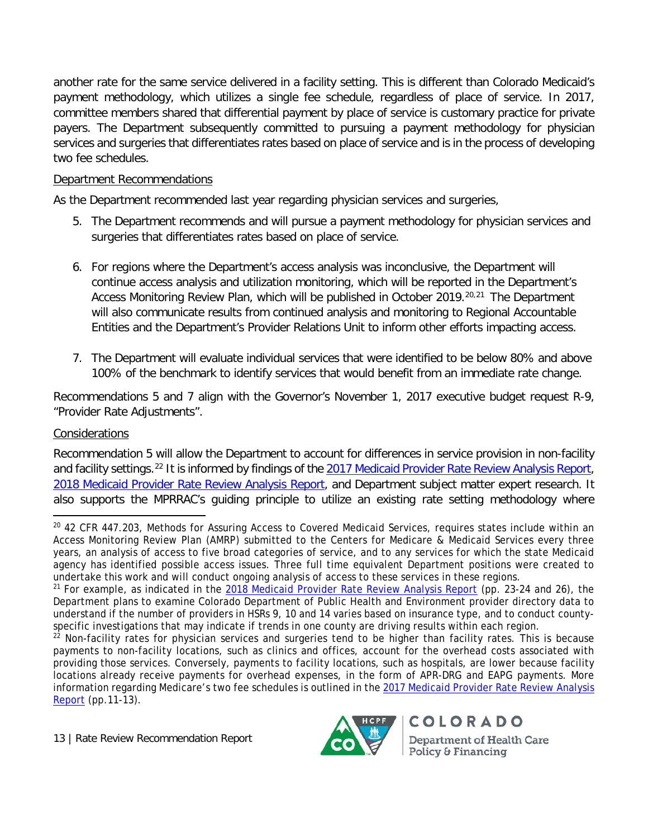another rate for the same service delivered in a facility setting. This is different than Colorado Medicaid's payment methodology, which utilizes a single fee schedule, regardless of place of service. In 2017, committee members shared that differential payment by place of service is customary practice for private payers. The Department subsequently committed to pursuing a payment methodology for physician services and surgeries that differentiates rates based on place of service and is in the process of developing two fee schedules.

#### Department Recommendations

As the Department recommended last year regarding physician services and surgeries,

- 5. The Department recommends and will pursue a payment methodology for physician services and surgeries that differentiates rates based on place of service.
- 6. For regions where the Department's access analysis was inconclusive, the Department will continue access analysis and utilization monitoring, which will be reported in the Department's Access Monitoring Review Plan, which will be published in October [20](#page-16-0)19.<sup>20,[21](#page-16-1)</sup> The Department will also communicate results from continued analysis and monitoring to Regional Accountable Entities and the Department's Provider Relations Unit to inform other efforts impacting access.
- 7. The Department will evaluate individual services that were identified to be below 80% and above 100% of the benchmark to identify services that would benefit from an immediate rate change.

Recommendations 5 and 7 align with the Governor's November 1, 2017 executive budget request R-9, "Provider Rate Adjustments".

#### Considerations

Recommendation 5 will allow the Department to account for differences in service provision in non-facility and facility settings.<sup>[22](#page-16-2)</sup> It is informed by findings of the [2017 Medicaid Provider Rate Review Analysis Report,](https://www.colorado.gov/pacific/sites/default/files/2017%20Medicaid%20Provider%20Rate%20Review%20Analysis%20Report%20-%20Physician%20Services%2C%20Surgery%2C%20and%20Anesthesia.pdf) [2018 Medicaid Provider Rate Review Analysis Report,](https://www.colorado.gov/pacific/sites/default/files/2018%20Medicaid%20Provider%20Rate%20Review%20Analysis%20Report.pdf) and Department subject matter expert research. It also supports the MPRRAC's guiding principle to utilize an existing rate setting methodology where



<span id="page-16-0"></span><sup>&</sup>lt;sup>20</sup> 42 CFR 447.203, Methods for Assuring Access to Covered Medicaid Services, requires states include within an Access Monitoring Review Plan (AMRP) submitted to the Centers for Medicare & Medicaid Services every three years, an analysis of access to five broad categories of service, and to any services for which the state Medicaid agency has identified possible access issues. Three full time equivalent Department positions were created to undertake this work and will conduct ongoing analysis of access to these services in these regions.

<span id="page-16-1"></span><sup>&</sup>lt;sup>21</sup> For example, as indicated in the [2018 Medicaid Provider Rate Review Analysis Report](https://www.colorado.gov/pacific/sites/default/files/2018%20Medicaid%20Provider%20Rate%20Review%20Analysis%20Report.pdf) (pp. 23-24 and 26), the Department plans to examine Colorado Department of Public Health and Environment provider directory data to understand if the number of providers in HSRs 9, 10 and 14 varies based on insurance type, and to conduct countyspecific investigations that may indicate if trends in one county are driving results within each region.

<span id="page-16-2"></span><sup>&</sup>lt;sup>22</sup> Non-facility rates for physician services and surgeries tend to be higher than facility rates. This is because payments to non-facility locations, such as clinics and offices, account for the overhead costs associated with providing those services. Conversely, payments to facility locations, such as hospitals, are lower because facility locations already receive payments for overhead expenses, in the form of APR-DRG and EAPG payments. More information regarding Medicare's two fee schedules is outlined in the [2017 Medicaid Provider Rate Review Analysis](https://www.colorado.gov/pacific/sites/default/files/2017%20Medicaid%20Provider%20Rate%20Review%20Analysis%20Report%20-%20Physician%20Services%2C%20Surgery%2C%20and%20Anesthesia.pdf)  [Report](https://www.colorado.gov/pacific/sites/default/files/2017%20Medicaid%20Provider%20Rate%20Review%20Analysis%20Report%20-%20Physician%20Services%2C%20Surgery%2C%20and%20Anesthesia.pdf) (pp.11-13).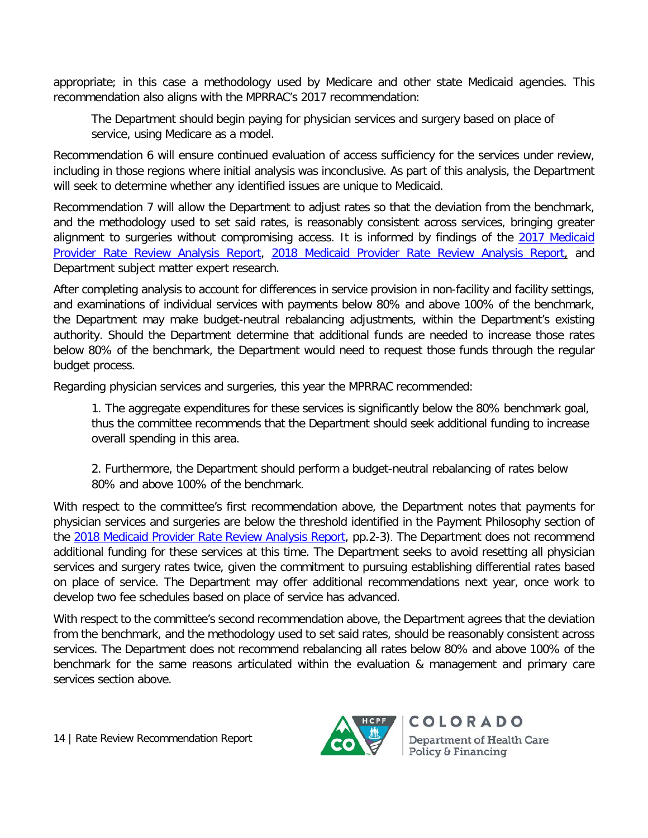appropriate; in this case a methodology used by Medicare and other state Medicaid agencies. This recommendation also aligns with the MPRRAC's 2017 recommendation:

The Department should begin paying for physician services and surgery based on place of service, using Medicare as a model.

Recommendation 6 will ensure continued evaluation of access sufficiency for the services under review, including in those regions where initial analysis was inconclusive. As part of this analysis, the Department will seek to determine whether any identified issues are unique to Medicaid.

Recommendation 7 will allow the Department to adjust rates so that the deviation from the benchmark, and the methodology used to set said rates, is reasonably consistent across services, bringing greater alignment to surgeries without compromising access. It is informed by findings of the 2017 Medicaid [Provider Rate Review Analysis Report,](https://www.colorado.gov/pacific/sites/default/files/2017%20Medicaid%20Provider%20Rate%20Review%20Analysis%20Report%20-%20Physician%20Services%2C%20Surgery%2C%20and%20Anesthesia.pdf) [2018 Medicaid Provider Rate Review Analysis Report,](https://www.colorado.gov/pacific/sites/default/files/2018%20Medicaid%20Provider%20Rate%20Review%20Analysis%20Report.pdf) and Department subject matter expert research.

After completing analysis to account for differences in service provision in non-facility and facility settings, and examinations of individual services with payments below 80% and above 100% of the benchmark, the Department may make budget-neutral rebalancing adjustments, within the Department's existing authority. Should the Department determine that additional funds are needed to increase those rates below 80% of the benchmark, the Department would need to request those funds through the regular budget process.

Regarding physician services and surgeries, this year the MPRRAC recommended:

1. The aggregate expenditures for these services is significantly below the 80% benchmark goal, thus the committee recommends that the Department should seek additional funding to increase overall spending in this area.

2. Furthermore, the Department should perform a budget-neutral rebalancing of rates below 80% and above 100% of the benchmark.

With respect to the committee's first recommendation above, the Department notes that payments for physician services and surgeries are below the threshold identified in the Payment Philosophy section of the [2018 Medicaid Provider Rate Review Analysis Report,](https://www.colorado.gov/pacific/sites/default/files/2018%20Medicaid%20Provider%20Rate%20Review%20Analysis%20Report.pdf) pp.2-3). The Department does not recommend additional funding for these services at this time. The Department seeks to avoid resetting all physician services and surgery rates twice, given the commitment to pursuing establishing differential rates based on place of service. The Department may offer additional recommendations next year, once work to develop two fee schedules based on place of service has advanced.

With respect to the committee's second recommendation above, the Department agrees that the deviation from the benchmark, and the methodology used to set said rates, should be reasonably consistent across services. The Department does not recommend rebalancing all rates below 80% and above 100% of the benchmark for the same reasons articulated within the evaluation & management and primary care services section above.

14 | Rate Review Recommendation Report

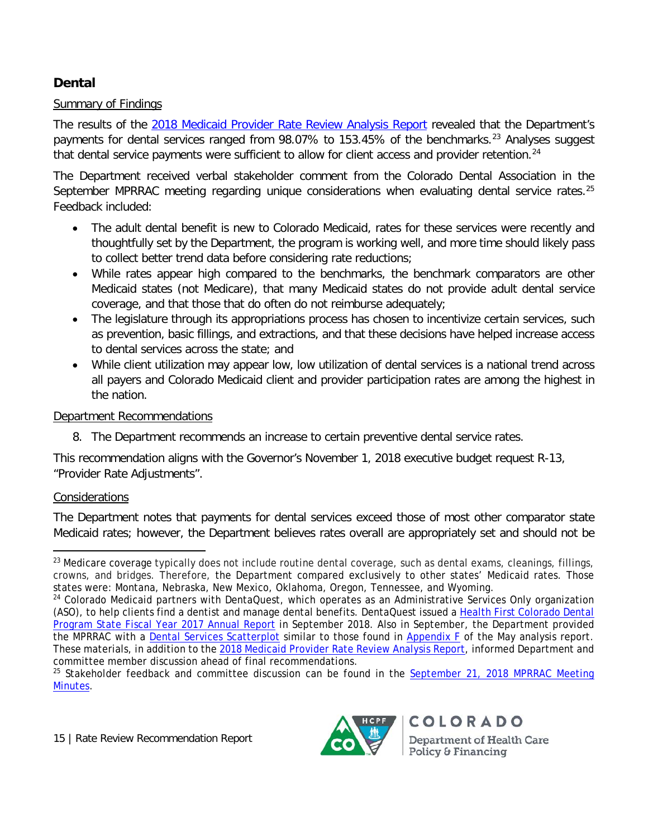# **Dental**

#### Summary of Findings

The results of the [2018 Medicaid Provider Rate Review Analysis Report](https://www.colorado.gov/pacific/sites/default/files/2018%20Medicaid%20Provider%20Rate%20Review%20Analysis%20Report.pdf) revealed that the Department's payments for dental services ranged from 98.07% to 153.45% of the benchmarks. [23](#page-18-0) Analyses suggest that dental service payments were sufficient to allow for client access and provider retention.<sup>[24](#page-18-1)</sup>

The Department received verbal stakeholder comment from the Colorado Dental Association in the September MPRRAC meeting regarding unique considerations when evaluating dental service rates.<sup>[25](#page-18-2)</sup> Feedback included:

- The adult dental benefit is new to Colorado Medicaid, rates for these services were recently and thoughtfully set by the Department, the program is working well, and more time should likely pass to collect better trend data before considering rate reductions;
- While rates appear high compared to the benchmarks, the benchmark comparators are other Medicaid states (not Medicare), that many Medicaid states do not provide adult dental service coverage, and that those that do often do not reimburse adequately;
- The legislature through its appropriations process has chosen to incentivize certain services, such as prevention, basic fillings, and extractions, and that these decisions have helped increase access to dental services across the state; and
- While client utilization may appear low, low utilization of dental services is a national trend across all payers and Colorado Medicaid client and provider participation rates are among the highest in the nation.

#### Department Recommendations

8. The Department recommends an increase to certain preventive dental service rates.

This recommendation aligns with the Governor's November 1, 2018 executive budget request R-13, "Provider Rate Adjustments".

#### Considerations

The Department notes that payments for dental services exceed those of most other comparator state Medicaid rates; however, the Department believes rates overall are appropriately set and should not be



<span id="page-18-0"></span><sup>&</sup>lt;sup>23</sup> Medicare coverage typically does not include routine dental coverage, such as dental exams, cleanings, fillings, crowns, and bridges. Therefore, the Department compared exclusively to other states' Medicaid rates. Those states were: Montana, Nebraska, New Mexico, Oklahoma, Oregon, Tennessee, and Wyoming.

<span id="page-18-1"></span><sup>&</sup>lt;sup>24</sup> Colorado Medicaid partners with DentaQuest, which operates as an Administrative Services Only organization (ASO), to help clients find a dentist and manage dental benefits. DentaQuest issued a [Health First Colorado Dental](https://www.colorado.gov/pacific/sites/default/files/2017%20Dental%20Services%20Annual%20Report%20September%2021%2C%202018.pdf)  [Program State Fiscal Year 2017 Annual Report](https://www.colorado.gov/pacific/sites/default/files/2017%20Dental%20Services%20Annual%20Report%20September%2021%2C%202018.pdf) in September 2018. Also in September, the Department provided the MPRRAC with a [Dental Services Scatterplot](https://www.colorado.gov/pacific/sites/default/files/Dental%20Services%20Scatter%20Plot%20September%2021,%202018.pdf) similar to those found in [Appendix F](https://www.colorado.gov/pacific/sites/default/files/5.%20Appendix%20F%20-%20Rate%20Ratio%20Scatterplots%20July%2013%202018.pdf) of the May analysis report. These materials, in addition to the [2018 Medicaid Provider Rate Review Analysis Report,](https://www.colorado.gov/pacific/sites/default/files/2018%20Medicaid%20Provider%20Rate%20Review%20Analysis%20Report.pdf) informed Department and committee member discussion ahead of final recommendations.

<span id="page-18-2"></span> $25$  Stakeholder feedback and committee discussion can be found in the September 21, 2018 MPRRAC Meeting [Minutes.](https://www.colorado.gov/pacific/sites/default/files/Medicaid%20Provider%20Rate%20Review%20Advisory%20Committee%20Minutes%20September%2021,%202018.pdf)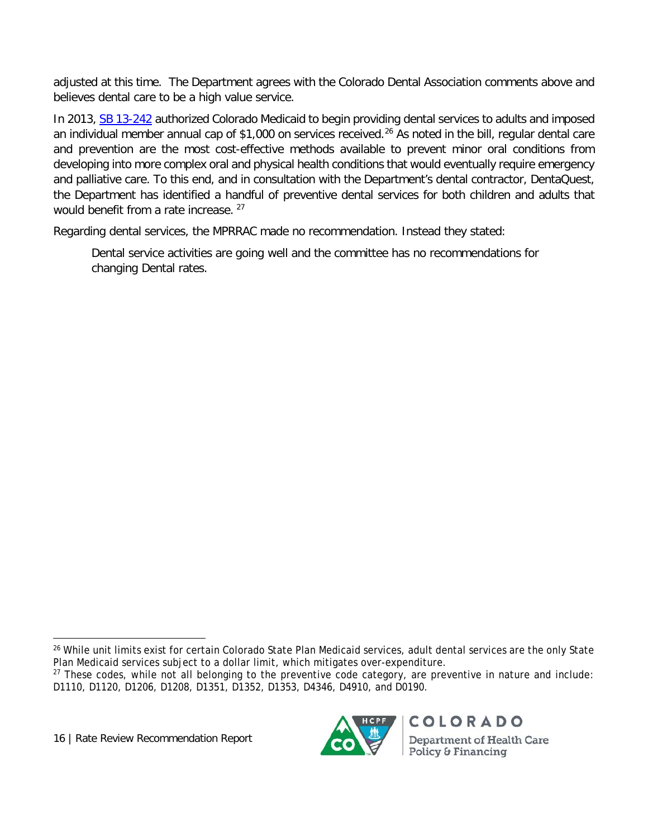adjusted at this time. The Department agrees with the Colorado Dental Association comments above and believes dental care to be a high value service.

In 2013, [SB 13-242](http://www.leg.state.co.us/clics/clics2013a/csl.nsf/fsbillcont/4E757BFE04FA421E87257AEE00584F77?Open&file=242_01.pdf) authorized Colorado Medicaid to begin providing dental services to adults and imposed an individual member annual cap of \$1,000 on services received. [26](#page-19-0) As noted in the bill, regular dental care and prevention are the most cost-effective methods available to prevent minor oral conditions from developing into more complex oral and physical health conditions that would eventually require emergency and palliative care. To this end, and in consultation with the Department's dental contractor, DentaQuest, the Department has identified a handful of preventive dental services for both children and adults that would benefit from a rate increase. <sup>[27](#page-19-1)</sup>

Regarding dental services, the MPRRAC made no recommendation. Instead they stated:

Dental service activities are going well and the committee has no recommendations for changing Dental rates.

16 | Rate Review Recommendation Report



<span id="page-19-0"></span><sup>&</sup>lt;sup>26</sup> While unit limits exist for certain Colorado State Plan Medicaid services, adult dental services are the only State Plan Medicaid services subject to a dollar limit, which mitigates over-expenditure.

<span id="page-19-1"></span><sup>&</sup>lt;sup>27</sup> These codes, while not all belonging to the preventive code category, are preventive in nature and include: D1110, D1120, D1206, D1208, D1351, D1352, D1353, D4346, D4910, and D0190.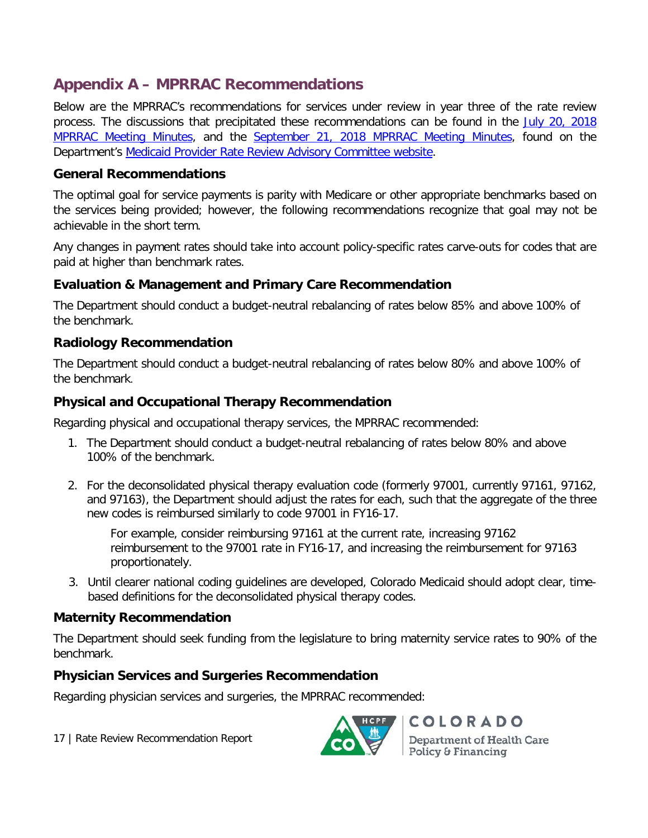# **Appendix A – MPRRAC Recommendations**

Below are the MPRRAC's recommendations for services under review in year three of the rate review process. The discussions that precipitated these recommendations can be found in the July 20, 2018 [MPRRAC Meeting Minutes,](https://www.colorado.gov/pacific/sites/default/files/Medicaid%20Provider%20Rate%20Review%20Advisory%20Committee%20Minutes%20July%2020,%202018%20.pdf) and the [September 21, 2018 MPRRAC Meeting Minutes,](https://www.colorado.gov/pacific/sites/default/files/Medicaid%20Provider%20Rate%20Review%20Advisory%20Committee%20Minutes%20September%2021,%202018.pdf) found on the Department's [Medicaid Provider Rate Review Advisory Committee website.](https://www.colorado.gov/pacific/hcpf/medicaid-provider-rate-review-advisory-committee)

#### **General Recommendations**

The optimal goal for service payments is parity with Medicare or other appropriate benchmarks based on the services being provided; however, the following recommendations recognize that goal may not be achievable in the short term.

Any changes in payment rates should take into account policy-specific rates carve-outs for codes that are paid at higher than benchmark rates.

#### **Evaluation & Management and Primary Care Recommendation**

The Department should conduct a budget-neutral rebalancing of rates below 85% and above 100% of the benchmark.

## **Radiology Recommendation**

The Department should conduct a budget-neutral rebalancing of rates below 80% and above 100% of the benchmark.

#### **Physical and Occupational Therapy Recommendation**

Regarding physical and occupational therapy services, the MPRRAC recommended:

- 1. The Department should conduct a budget-neutral rebalancing of rates below 80% and above 100% of the benchmark.
- 2. For the deconsolidated physical therapy evaluation code (formerly 97001, currently 97161, 97162, and 97163), the Department should adjust the rates for each, such that the aggregate of the three new codes is reimbursed similarly to code 97001 in FY16-17.

For example, consider reimbursing 97161 at the current rate, increasing 97162 reimbursement to the 97001 rate in FY16-17, and increasing the reimbursement for 97163 proportionately.

3. Until clearer national coding guidelines are developed, Colorado Medicaid should adopt clear, timebased definitions for the deconsolidated physical therapy codes.

#### **Maternity Recommendation**

The Department should seek funding from the legislature to bring maternity service rates to 90% of the benchmark.

#### **Physician Services and Surgeries Recommendation**

Regarding physician services and surgeries, the MPRRAC recommended:

17 | Rate Review Recommendation Report